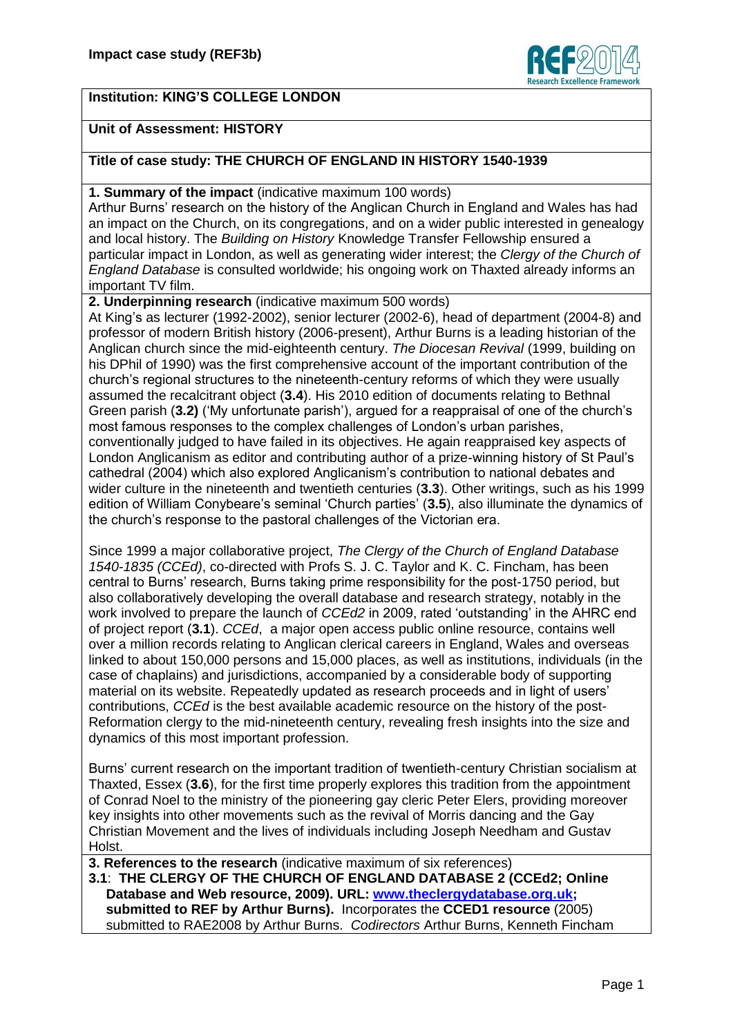

## **Institution: KING'S COLLEGE LONDON**

## **Unit of Assessment: HISTORY**

## **Title of case study: THE CHURCH OF ENGLAND IN HISTORY 1540-1939**

**1. Summary of the impact** (indicative maximum 100 words)

Arthur Burns' research on the history of the Anglican Church in England and Wales has had an impact on the Church, on its congregations, and on a wider public interested in genealogy and local history. The *Building on History* Knowledge Transfer Fellowship ensured a particular impact in London, as well as generating wider interest; the *Clergy of the Church of England Database* is consulted worldwide; his ongoing work on Thaxted already informs an important TV film.

**2. Underpinning research** (indicative maximum 500 words)

At King's as lecturer (1992-2002), senior lecturer (2002-6), head of department (2004-8) and professor of modern British history (2006-present), Arthur Burns is a leading historian of the Anglican church since the mid-eighteenth century. *The Diocesan Revival* (1999, building on his DPhil of 1990) was the first comprehensive account of the important contribution of the church's regional structures to the nineteenth-century reforms of which they were usually assumed the recalcitrant object (**3.4**). His 2010 edition of documents relating to Bethnal Green parish (**3.2)** ('My unfortunate parish'), argued for a reappraisal of one of the church's most famous responses to the complex challenges of London's urban parishes, conventionally judged to have failed in its objectives. He again reappraised key aspects of London Anglicanism as editor and contributing author of a prize-winning history of St Paul's cathedral (2004) which also explored Anglicanism's contribution to national debates and wider culture in the nineteenth and twentieth centuries (**3.3**). Other writings, such as his 1999 edition of William Conybeare's seminal 'Church parties' (**3.5**), also illuminate the dynamics of the church's response to the pastoral challenges of the Victorian era.

Since 1999 a major collaborative project, *The Clergy of the Church of England Database 1540-1835 (CCEd)*, co-directed with Profs S. J. C. Taylor and K. C. Fincham, has been central to Burns' research, Burns taking prime responsibility for the post-1750 period, but also collaboratively developing the overall database and research strategy, notably in the work involved to prepare the launch of *CCEd2* in 2009, rated 'outstanding' in the AHRC end of project report (**3.1**). *CCEd*, a major open access public online resource, contains well over a million records relating to Anglican clerical careers in England, Wales and overseas linked to about 150,000 persons and 15,000 places, as well as institutions, individuals (in the case of chaplains) and jurisdictions, accompanied by a considerable body of supporting material on its website. Repeatedly updated as research proceeds and in light of users' contributions, *CCEd* is the best available academic resource on the history of the post-Reformation clergy to the mid-nineteenth century, revealing fresh insights into the size and dynamics of this most important profession.

Burns' current research on the important tradition of twentieth-century Christian socialism at Thaxted, Essex (**3.6**), for the first time properly explores this tradition from the appointment of Conrad Noel to the ministry of the pioneering gay cleric Peter Elers, providing moreover key insights into other movements such as the revival of Morris dancing and the Gay Christian Movement and the lives of individuals including Joseph Needham and Gustav Holst.

**3. References to the research** (indicative maximum of six references) **3.1**: **THE CLERGY OF THE CHURCH OF ENGLAND DATABASE 2 (CCEd2; Online** 

**Database and Web resource, 2009). URL: [www.theclergydatabase.org.uk;](http://www.theclergydatabase.org.uk/) submitted to REF by Arthur Burns).** Incorporates the **CCED1 resource** (2005) submitted to RAE2008 by Arthur Burns. *Codirectors* Arthur Burns, Kenneth Fincham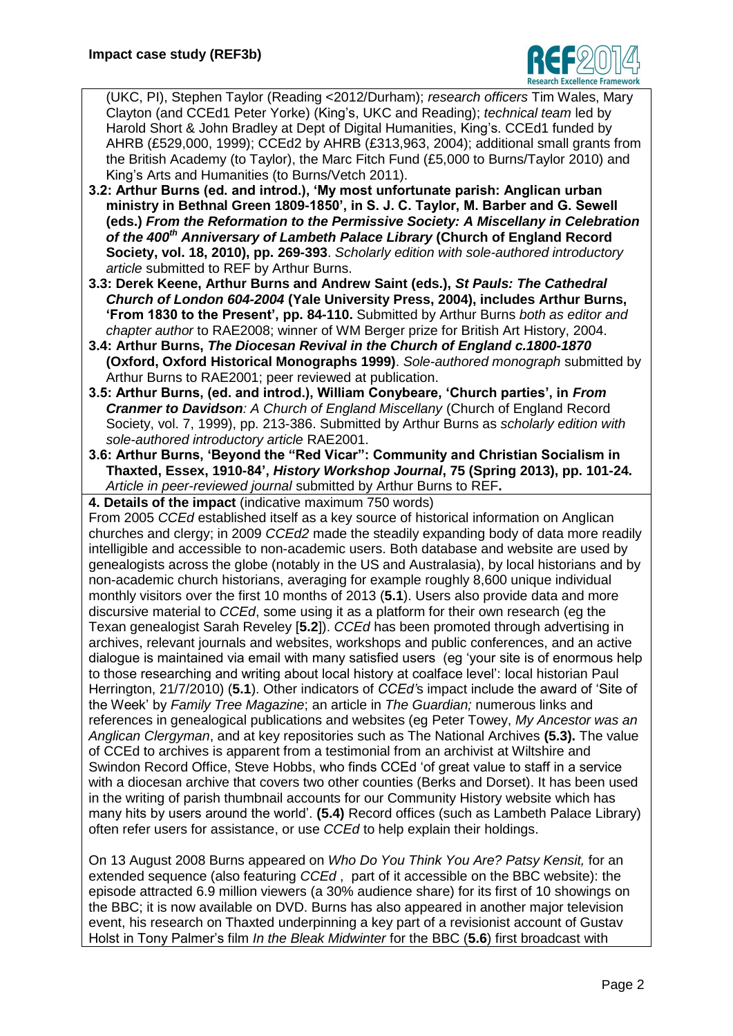

(UKC, PI), Stephen Taylor (Reading <2012/Durham); *research officers* Tim Wales, Mary Clayton (and CCEd1 Peter Yorke) (King's, UKC and Reading); *technical team* led by Harold Short & John Bradley at Dept of Digital Humanities, King's. CCEd1 funded by AHRB (£529,000, 1999); CCEd2 by AHRB (£313,963, 2004); additional small grants from the British Academy (to Taylor), the Marc Fitch Fund (£5,000 to Burns/Taylor 2010) and King's Arts and Humanities (to Burns/Vetch 2011).

- **3.2: Arthur Burns (ed. and introd.), 'My most unfortunate parish: Anglican urban ministry in Bethnal Green 1809-1850', in S. J. C. Taylor, M. Barber and G. Sewell (eds.)** *From the Reformation to the Permissive Society: A Miscellany in Celebration of the 400th Anniversary of Lambeth Palace Library* **(Church of England Record Society, vol. 18, 2010), pp. 269-393**. *Scholarly edition with sole-authored introductory article* submitted to REF by Arthur Burns.
- **3.3: Derek Keene, Arthur Burns and Andrew Saint (eds.),** *St Pauls: The Cathedral Church of London 604-2004* **(Yale University Press, 2004), includes Arthur Burns, 'From 1830 to the Present', pp. 84-110.** Submitted by Arthur Burns *both as editor and chapter author* to RAE2008; winner of WM Berger prize for British Art History, 2004.
- **3.4: Arthur Burns,** *The Diocesan Revival in the Church of England c.1800-1870* **(Oxford, Oxford Historical Monographs 1999)**. *Sole-authored monograph* submitted by Arthur Burns to RAE2001; peer reviewed at publication.
- **3.5: Arthur Burns, (ed. and introd.), William Conybeare, 'Church parties', in** *From Cranmer to Davidson: A Church of England Miscellany* (Church of England Record Society, vol. 7, 1999), pp. 213-386. Submitted by Arthur Burns as *scholarly edition with sole-authored introductory article* RAE2001.
- **3.6: Arthur Burns, 'Beyond the "Red Vicar": Community and Christian Socialism in Thaxted, Essex, 1910-84',** *History Workshop Journal***, 75 (Spring 2013), pp. 101-24.**  *Article in peer-reviewed journal* submitted by Arthur Burns to REF**.**

**4. Details of the impact** (indicative maximum 750 words)

From 2005 *CCEd* established itself as a key source of historical information on Anglican churches and clergy; in 2009 *CCEd2* made the steadily expanding body of data more readily intelligible and accessible to non-academic users. Both database and website are used by genealogists across the globe (notably in the US and Australasia), by local historians and by non-academic church historians, averaging for example roughly 8,600 unique individual monthly visitors over the first 10 months of 2013 (**5.1**). Users also provide data and more discursive material to *CCEd*, some using it as a platform for their own research (eg the Texan genealogist Sarah Reveley [**5.2**]). *CCEd* has been promoted through advertising in archives, relevant journals and websites, workshops and public conferences, and an active dialogue is maintained via email with many satisfied users (eg 'your site is of enormous help to those researching and writing about local history at coalface level': local historian Paul Herrington, 21/7/2010) (**5.1**). Other indicators of *CCEd'*s impact include the award of 'Site of the Week' by *Family Tree Magazine*; an article in *The Guardian;* numerous links and references in genealogical publications and websites (eg Peter Towey, *My Ancestor was an Anglican Clergyman*, and at key repositories such as The National Archives **(5.3).** The value of CCEd to archives is apparent from a testimonial from an archivist at Wiltshire and Swindon Record Office, Steve Hobbs, who finds CCEd 'of great value to staff in a service with a diocesan archive that covers two other counties (Berks and Dorset). It has been used in the writing of parish thumbnail accounts for our Community History website which has many hits by users around the world'. **(5.4)** Record offices (such as Lambeth Palace Library) often refer users for assistance, or use *CCEd* to help explain their holdings.

On 13 August 2008 Burns appeared on *Who Do You Think You Are? Patsy Kensit,* for an extended sequence (also featuring *CCEd* , part of it accessible on the BBC website): the episode attracted 6.9 million viewers (a 30% audience share) for its first of 10 showings on the BBC; it is now available on DVD. Burns has also appeared in another major television event, his research on Thaxted underpinning a key part of a revisionist account of Gustav Holst in Tony Palmer's film *In the Bleak Midwinter* for the BBC (**5.6**) first broadcast with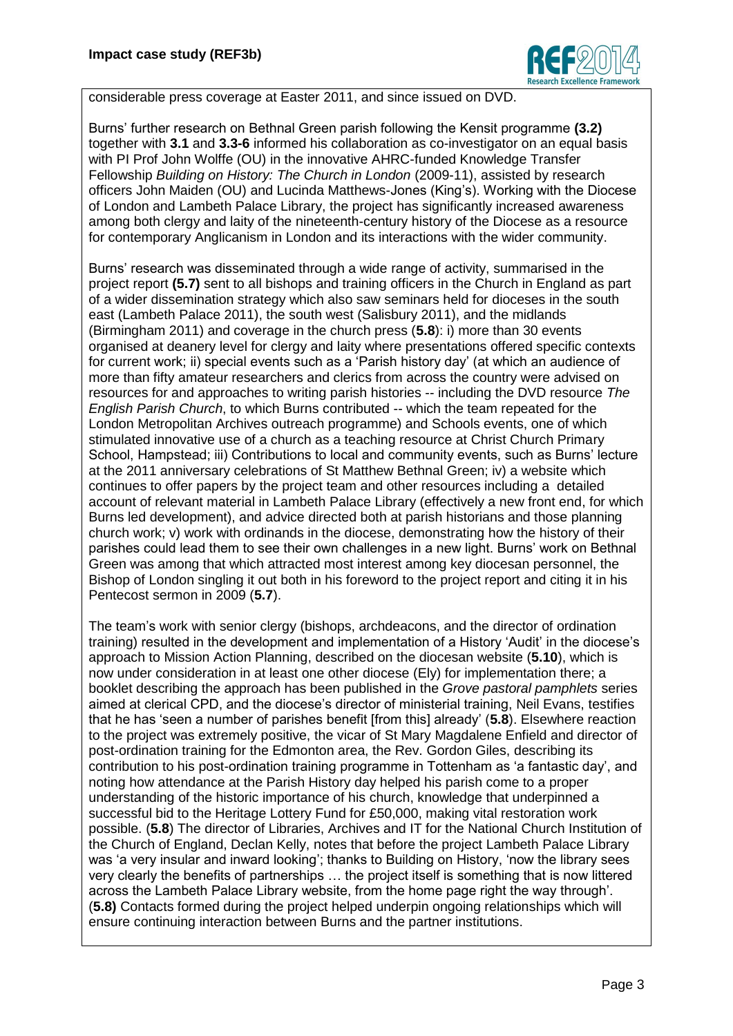

considerable press coverage at Easter 2011, and since issued on DVD.

Burns' further research on Bethnal Green parish following the Kensit programme **(3.2)** together with **3.1** and **3.3-6** informed his collaboration as co-investigator on an equal basis with PI Prof John Wolffe (OU) in the innovative AHRC-funded Knowledge Transfer Fellowship *Building on History: The Church in London* (2009-11), assisted by research officers John Maiden (OU) and Lucinda Matthews-Jones (King's). Working with the Diocese of London and Lambeth Palace Library, the project has significantly increased awareness among both clergy and laity of the nineteenth-century history of the Diocese as a resource for contemporary Anglicanism in London and its interactions with the wider community.

Burns' research was disseminated through a wide range of activity, summarised in the project report **(5.7)** sent to all bishops and training officers in the Church in England as part of a wider dissemination strategy which also saw seminars held for dioceses in the south east (Lambeth Palace 2011), the south west (Salisbury 2011), and the midlands (Birmingham 2011) and coverage in the church press (**5.8**): i) more than 30 events organised at deanery level for clergy and laity where presentations offered specific contexts for current work; ii) special events such as a 'Parish history day' (at which an audience of more than fifty amateur researchers and clerics from across the country were advised on resources for and approaches to writing parish histories -- including the DVD resource *The English Parish Church*, to which Burns contributed -- which the team repeated for the London Metropolitan Archives outreach programme) and Schools events, one of which stimulated innovative use of a church as a teaching resource at Christ Church Primary School, Hampstead; iii) Contributions to local and community events, such as Burns' lecture at the 2011 anniversary celebrations of St Matthew Bethnal Green; iv) a website which continues to offer papers by the project team and other resources including a detailed account of relevant material in Lambeth Palace Library (effectively a new front end, for which Burns led development), and advice directed both at parish historians and those planning church work; v) work with ordinands in the diocese, demonstrating how the history of their parishes could lead them to see their own challenges in a new light. Burns' work on Bethnal Green was among that which attracted most interest among key diocesan personnel, the Bishop of London singling it out both in his foreword to the project report and citing it in his Pentecost sermon in 2009 (**5.7**).

The team's work with senior clergy (bishops, archdeacons, and the director of ordination training) resulted in the development and implementation of a History 'Audit' in the diocese's approach to Mission Action Planning, described on the diocesan website (**5.10**), which is now under consideration in at least one other diocese (Ely) for implementation there; a booklet describing the approach has been published in the *Grove pastoral pamphlets* series aimed at clerical CPD, and the diocese's director of ministerial training, Neil Evans, testifies that he has 'seen a number of parishes benefit [from this] already' (**5.8**). Elsewhere reaction to the project was extremely positive, the vicar of St Mary Magdalene Enfield and director of post-ordination training for the Edmonton area, the Rev. Gordon Giles, describing its contribution to his post-ordination training programme in Tottenham as 'a fantastic day', and noting how attendance at the Parish History day helped his parish come to a proper understanding of the historic importance of his church, knowledge that underpinned a successful bid to the Heritage Lottery Fund for £50,000, making vital restoration work possible. (**5.8**) The director of Libraries, Archives and IT for the National Church Institution of the Church of England, Declan Kelly, notes that before the project Lambeth Palace Library was 'a very insular and inward looking'; thanks to Building on History, 'now the library sees very clearly the benefits of partnerships … the project itself is something that is now littered across the Lambeth Palace Library website, from the home page right the way through'. (**5.8)** Contacts formed during the project helped underpin ongoing relationships which will ensure continuing interaction between Burns and the partner institutions.